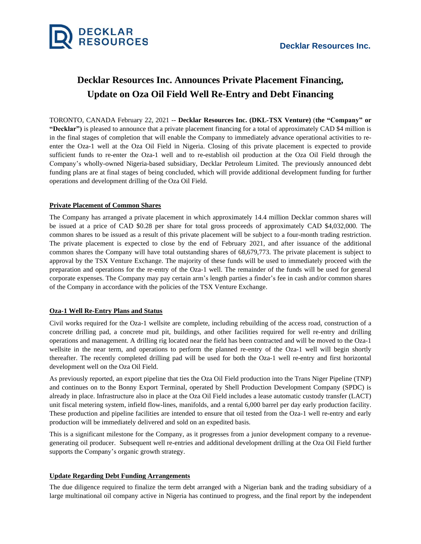

# **Decklar Resources Inc. Announces Private Placement Financing, Update on Oza Oil Field Well Re-Entry and Debt Financing**

TORONTO, CANADA February 22, 2021 -- **Decklar Resources Inc. (DKL-TSX Venture)** (**the "Company" or "Decklar")** is pleased to announce that a private placement financing for a total of approximately CAD \$4 million is in the final stages of completion that will enable the Company to immediately advance operational activities to reenter the Oza-1 well at the Oza Oil Field in Nigeria. Closing of this private placement is expected to provide sufficient funds to re-enter the Oza-1 well and to re-establish oil production at the Oza Oil Field through the Company's wholly-owned Nigeria-based subsidiary, Decklar Petroleum Limited. The previously announced debt funding plans are at final stages of being concluded, which will provide additional development funding for further operations and development drilling of the Oza Oil Field.

## **Private Placement of Common Shares**

The Company has arranged a private placement in which approximately 14.4 million Decklar common shares will be issued at a price of CAD \$0.28 per share for total gross proceeds of approximately CAD \$4,032,000. The common shares to be issued as a result of this private placement will be subject to a four-month trading restriction. The private placement is expected to close by the end of February 2021, and after issuance of the additional common shares the Company will have total outstanding shares of 68,679,773. The private placement is subject to approval by the TSX Venture Exchange. The majority of these funds will be used to immediately proceed with the preparation and operations for the re-entry of the Oza-1 well. The remainder of the funds will be used for general corporate expenses. The Company may pay certain arm's length parties a finder's fee in cash and/or common shares of the Company in accordance with the policies of the TSX Venture Exchange.

## **Oza-1 Well Re-Entry Plans and Status**

Civil works required for the Oza-1 wellsite are complete, including rebuilding of the access road, construction of a concrete drilling pad, a concrete mud pit, buildings, and other facilities required for well re-entry and drilling operations and management. A drilling rig located near the field has been contracted and will be moved to the Oza-1 wellsite in the near term, and operations to perform the planned re-entry of the Oza-1 well will begin shortly thereafter. The recently completed drilling pad will be used for both the Oza-1 well re-entry and first horizontal development well on the Oza Oil Field.

As previously reported, an export pipeline that ties the Oza Oil Field production into the Trans Niger Pipeline (TNP) and continues on to the Bonny Export Terminal, operated by Shell Production Development Company (SPDC) is already in place. Infrastructure also in place at the Oza Oil Field includes a lease automatic custody transfer (LACT) unit fiscal metering system, infield flow-lines, manifolds, and a rental 6,000 barrel per day early production facility. These production and pipeline facilities are intended to ensure that oil tested from the Oza-1 well re-entry and early production will be immediately delivered and sold on an expedited basis.

This is a significant milestone for the Company, as it progresses from a junior development company to a revenuegenerating oil producer. Subsequent well re-entries and additional development drilling at the Oza Oil Field further supports the Company's organic growth strategy.

## **Update Regarding Debt Funding Arrangements**

The due diligence required to finalize the term debt arranged with a Nigerian bank and the trading subsidiary of a large multinational oil company active in Nigeria has continued to progress, and the final report by the independent